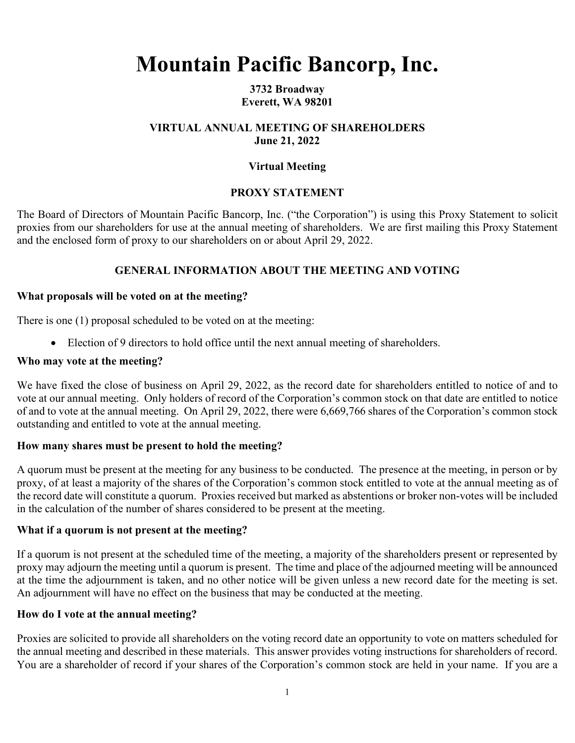# **Mountain Pacific Bancorp, Inc.**

**3732 Broadway Everett, WA 98201** 

# **VIRTUAL ANNUAL MEETING OF SHAREHOLDERS June 21, 2022**

# **Virtual Meeting**

# **PROXY STATEMENT**

The Board of Directors of Mountain Pacific Bancorp, Inc. ("the Corporation") is using this Proxy Statement to solicit proxies from our shareholders for use at the annual meeting of shareholders. We are first mailing this Proxy Statement and the enclosed form of proxy to our shareholders on or about April 29, 2022.

# **GENERAL INFORMATION ABOUT THE MEETING AND VOTING**

# **What proposals will be voted on at the meeting?**

There is one (1) proposal scheduled to be voted on at the meeting:

Election of 9 directors to hold office until the next annual meeting of shareholders.

# **Who may vote at the meeting?**

We have fixed the close of business on April 29, 2022, as the record date for shareholders entitled to notice of and to vote at our annual meeting. Only holders of record of the Corporation's common stock on that date are entitled to notice of and to vote at the annual meeting. On April 29, 2022, there were 6,669,766 shares of the Corporation's common stock outstanding and entitled to vote at the annual meeting.

# **How many shares must be present to hold the meeting?**

A quorum must be present at the meeting for any business to be conducted. The presence at the meeting, in person or by proxy, of at least a majority of the shares of the Corporation's common stock entitled to vote at the annual meeting as of the record date will constitute a quorum. Proxies received but marked as abstentions or broker non-votes will be included in the calculation of the number of shares considered to be present at the meeting.

### **What if a quorum is not present at the meeting?**

If a quorum is not present at the scheduled time of the meeting, a majority of the shareholders present or represented by proxy may adjourn the meeting until a quorum is present. The time and place of the adjourned meeting will be announced at the time the adjournment is taken, and no other notice will be given unless a new record date for the meeting is set. An adjournment will have no effect on the business that may be conducted at the meeting.

### **How do I vote at the annual meeting?**

Proxies are solicited to provide all shareholders on the voting record date an opportunity to vote on matters scheduled for the annual meeting and described in these materials. This answer provides voting instructions for shareholders of record. You are a shareholder of record if your shares of the Corporation's common stock are held in your name. If you are a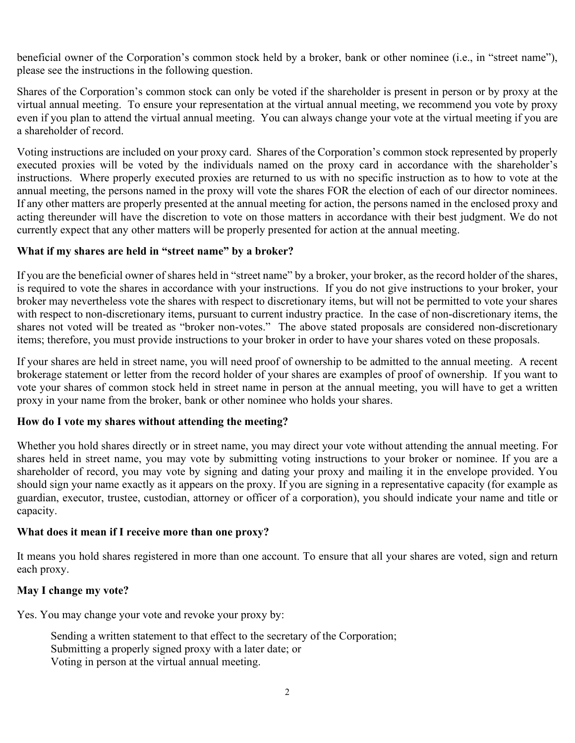beneficial owner of the Corporation's common stock held by a broker, bank or other nominee (i.e., in "street name"), please see the instructions in the following question.

Shares of the Corporation's common stock can only be voted if the shareholder is present in person or by proxy at the virtual annual meeting. To ensure your representation at the virtual annual meeting, we recommend you vote by proxy even if you plan to attend the virtual annual meeting. You can always change your vote at the virtual meeting if you are a shareholder of record.

Voting instructions are included on your proxy card. Shares of the Corporation's common stock represented by properly executed proxies will be voted by the individuals named on the proxy card in accordance with the shareholder's instructions. Where properly executed proxies are returned to us with no specific instruction as to how to vote at the annual meeting, the persons named in the proxy will vote the shares FOR the election of each of our director nominees. If any other matters are properly presented at the annual meeting for action, the persons named in the enclosed proxy and acting thereunder will have the discretion to vote on those matters in accordance with their best judgment. We do not currently expect that any other matters will be properly presented for action at the annual meeting.

# **What if my shares are held in "street name" by a broker?**

If you are the beneficial owner of shares held in "street name" by a broker, your broker, as the record holder of the shares, is required to vote the shares in accordance with your instructions. If you do not give instructions to your broker, your broker may nevertheless vote the shares with respect to discretionary items, but will not be permitted to vote your shares with respect to non-discretionary items, pursuant to current industry practice. In the case of non-discretionary items, the shares not voted will be treated as "broker non-votes." The above stated proposals are considered non-discretionary items; therefore, you must provide instructions to your broker in order to have your shares voted on these proposals.

If your shares are held in street name, you will need proof of ownership to be admitted to the annual meeting. A recent brokerage statement or letter from the record holder of your shares are examples of proof of ownership. If you want to vote your shares of common stock held in street name in person at the annual meeting, you will have to get a written proxy in your name from the broker, bank or other nominee who holds your shares.

### **How do I vote my shares without attending the meeting?**

Whether you hold shares directly or in street name, you may direct your vote without attending the annual meeting. For shares held in street name, you may vote by submitting voting instructions to your broker or nominee. If you are a shareholder of record, you may vote by signing and dating your proxy and mailing it in the envelope provided. You should sign your name exactly as it appears on the proxy. If you are signing in a representative capacity (for example as guardian, executor, trustee, custodian, attorney or officer of a corporation), you should indicate your name and title or capacity.

### **What does it mean if I receive more than one proxy?**

It means you hold shares registered in more than one account. To ensure that all your shares are voted, sign and return each proxy.

## **May I change my vote?**

Yes. You may change your vote and revoke your proxy by:

Sending a written statement to that effect to the secretary of the Corporation; Submitting a properly signed proxy with a later date; or Voting in person at the virtual annual meeting.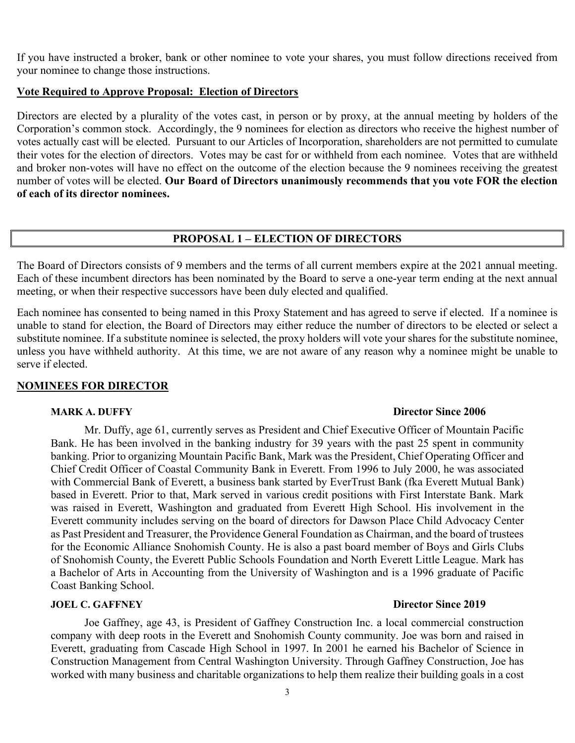If you have instructed a broker, bank or other nominee to vote your shares, you must follow directions received from your nominee to change those instructions.

#### **Vote Required to Approve Proposal: Election of Directors**

Directors are elected by a plurality of the votes cast, in person or by proxy, at the annual meeting by holders of the Corporation's common stock. Accordingly, the 9 nominees for election as directors who receive the highest number of votes actually cast will be elected. Pursuant to our Articles of Incorporation, shareholders are not permitted to cumulate their votes for the election of directors. Votes may be cast for or withheld from each nominee. Votes that are withheld and broker non-votes will have no effect on the outcome of the election because the 9 nominees receiving the greatest number of votes will be elected. **Our Board of Directors unanimously recommends that you vote FOR the election of each of its director nominees.** 

# **PROPOSAL 1 – ELECTION OF DIRECTORS**

The Board of Directors consists of 9 members and the terms of all current members expire at the 2021 annual meeting. Each of these incumbent directors has been nominated by the Board to serve a one-year term ending at the next annual meeting, or when their respective successors have been duly elected and qualified.

Each nominee has consented to being named in this Proxy Statement and has agreed to serve if elected. If a nominee is unable to stand for election, the Board of Directors may either reduce the number of directors to be elected or select a substitute nominee. If a substitute nominee is selected, the proxy holders will vote your shares for the substitute nominee, unless you have withheld authority. At this time, we are not aware of any reason why a nominee might be unable to serve if elected.

### **NOMINEES FOR DIRECTOR**

Mr. Duffy, age 61, currently serves as President and Chief Executive Officer of Mountain Pacific Bank. He has been involved in the banking industry for 39 years with the past 25 spent in community banking. Prior to organizing Mountain Pacific Bank, Mark was the President, Chief Operating Officer and Chief Credit Officer of Coastal Community Bank in Everett. From 1996 to July 2000, he was associated with Commercial Bank of Everett, a business bank started by EverTrust Bank (fka Everett Mutual Bank) based in Everett. Prior to that, Mark served in various credit positions with First Interstate Bank. Mark was raised in Everett, Washington and graduated from Everett High School. His involvement in the Everett community includes serving on the board of directors for Dawson Place Child Advocacy Center as Past President and Treasurer, the Providence General Foundation as Chairman, and the board of trustees for the Economic Alliance Snohomish County. He is also a past board member of Boys and Girls Clubs of Snohomish County, the Everett Public Schools Foundation and North Everett Little League. Mark has a Bachelor of Arts in Accounting from the University of Washington and is a 1996 graduate of Pacific Coast Banking School.

## **JOEL C. GAFFNEY Director Since 2019**

Joe Gaffney, age 43, is President of Gaffney Construction Inc. a local commercial construction company with deep roots in the Everett and Snohomish County community. Joe was born and raised in Everett, graduating from Cascade High School in 1997. In 2001 he earned his Bachelor of Science in Construction Management from Central Washington University. Through Gaffney Construction, Joe has worked with many business and charitable organizations to help them realize their building goals in a cost

#### **MARK A. DUFFY Director Since 2006**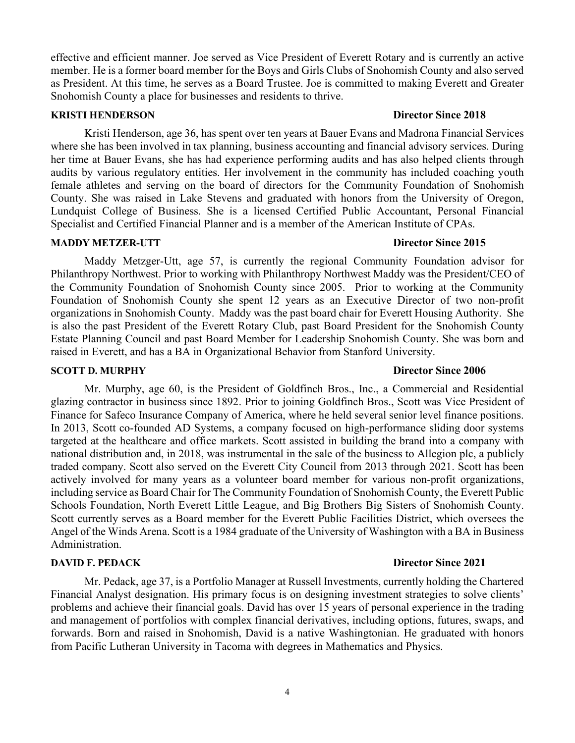effective and efficient manner. Joe served as Vice President of Everett Rotary and is currently an active member. He is a former board member for the Boys and Girls Clubs of Snohomish County and also served as President. At this time, he serves as a Board Trustee. Joe is committed to making Everett and Greater Snohomish County a place for businesses and residents to thrive.

#### **KRISTI HENDERSON Director Since 2018**

Kristi Henderson, age 36, has spent over ten years at Bauer Evans and Madrona Financial Services where she has been involved in tax planning, business accounting and financial advisory services. During her time at Bauer Evans, she has had experience performing audits and has also helped clients through audits by various regulatory entities. Her involvement in the community has included coaching youth female athletes and serving on the board of directors for the Community Foundation of Snohomish County. She was raised in Lake Stevens and graduated with honors from the University of Oregon, Lundquist College of Business. She is a licensed Certified Public Accountant, Personal Financial Specialist and Certified Financial Planner and is a member of the American Institute of CPAs.

#### **MADDY METZER-UTT Director Since 2015**

Maddy Metzger-Utt, age 57, is currently the regional Community Foundation advisor for Philanthropy Northwest. Prior to working with Philanthropy Northwest Maddy was the President/CEO of the Community Foundation of Snohomish County since 2005. Prior to working at the Community Foundation of Snohomish County she spent 12 years as an Executive Director of two non-profit organizations in Snohomish County. Maddy was the past board chair for Everett Housing Authority. She is also the past President of the Everett Rotary Club, past Board President for the Snohomish County Estate Planning Council and past Board Member for Leadership Snohomish County. She was born and raised in Everett, and has a BA in Organizational Behavior from Stanford University.

#### **SCOTT D. MURPHY Director Since 2006**

Mr. Murphy, age 60, is the President of Goldfinch Bros., Inc., a Commercial and Residential glazing contractor in business since 1892. Prior to joining Goldfinch Bros., Scott was Vice President of Finance for Safeco Insurance Company of America, where he held several senior level finance positions. In 2013, Scott co-founded AD Systems, a company focused on high-performance sliding door systems targeted at the healthcare and office markets. Scott assisted in building the brand into a company with national distribution and, in 2018, was instrumental in the sale of the business to Allegion plc, a publicly traded company. Scott also served on the Everett City Council from 2013 through 2021. Scott has been actively involved for many years as a volunteer board member for various non-profit organizations, including service as Board Chair for The Community Foundation of Snohomish County, the Everett Public Schools Foundation, North Everett Little League, and Big Brothers Big Sisters of Snohomish County. Scott currently serves as a Board member for the Everett Public Facilities District, which oversees the Angel of the Winds Arena. Scott is a 1984 graduate of the University of Washington with a BA in Business Administration.

Mr. Pedack, age 37, is a Portfolio Manager at Russell Investments, currently holding the Chartered Financial Analyst designation. His primary focus is on designing investment strategies to solve clients' problems and achieve their financial goals. David has over 15 years of personal experience in the trading and management of portfolios with complex financial derivatives, including options, futures, swaps, and forwards. Born and raised in Snohomish, David is a native Washingtonian. He graduated with honors from Pacific Lutheran University in Tacoma with degrees in Mathematics and Physics.

#### **DAVID F. PEDACK Director Since 2021**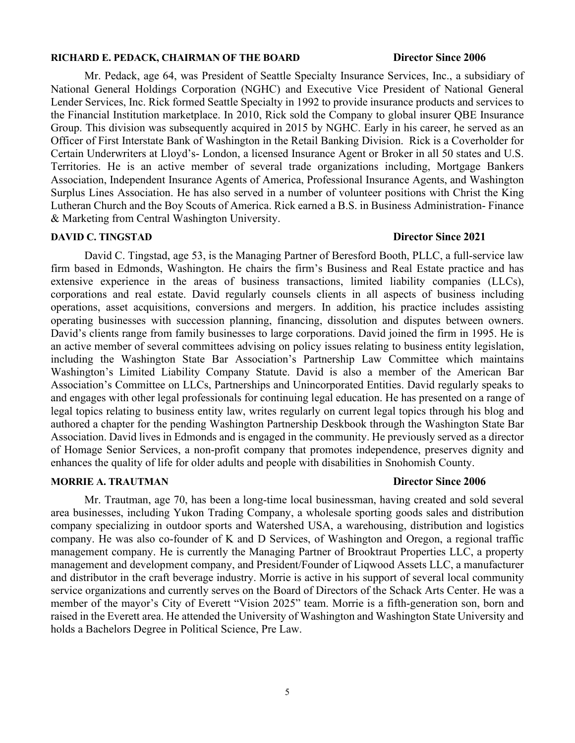#### **RICHARD E. PEDACK, CHAIRMAN OF THE BOARD Director Since 2006**

Mr. Pedack, age 64, was President of Seattle Specialty Insurance Services, Inc., a subsidiary of National General Holdings Corporation (NGHC) and Executive Vice President of National General Lender Services, Inc. Rick formed Seattle Specialty in 1992 to provide insurance products and services to the Financial Institution marketplace. In 2010, Rick sold the Company to global insurer QBE Insurance Group. This division was subsequently acquired in 2015 by NGHC. Early in his career, he served as an Officer of First Interstate Bank of Washington in the Retail Banking Division. Rick is a Coverholder for Certain Underwriters at Lloyd's- London, a licensed Insurance Agent or Broker in all 50 states and U.S. Territories. He is an active member of several trade organizations including, Mortgage Bankers Association, Independent Insurance Agents of America, Professional Insurance Agents, and Washington Surplus Lines Association. He has also served in a number of volunteer positions with Christ the King Lutheran Church and the Boy Scouts of America. Rick earned a B.S. in Business Administration- Finance & Marketing from Central Washington University.

#### **DAVID C. TINGSTAD Director Since 2021**

David C. Tingstad, age 53, is the Managing Partner of Beresford Booth, PLLC, a full-service law firm based in Edmonds, Washington. He chairs the firm's Business and Real Estate practice and has extensive experience in the areas of business transactions, limited liability companies (LLCs), corporations and real estate. David regularly counsels clients in all aspects of business including operations, asset acquisitions, conversions and mergers. In addition, his practice includes assisting operating businesses with succession planning, financing, dissolution and disputes between owners. David's clients range from family businesses to large corporations. David joined the firm in 1995. He is an active member of several committees advising on policy issues relating to business entity legislation, including the Washington State Bar Association's Partnership Law Committee which maintains Washington's Limited Liability Company Statute. David is also a member of the American Bar Association's Committee on LLCs, Partnerships and Unincorporated Entities. David regularly speaks to and engages with other legal professionals for continuing legal education. He has presented on a range of legal topics relating to business entity law, writes regularly on current legal topics through his blog and authored a chapter for the pending Washington Partnership Deskbook through the Washington State Bar Association. David lives in Edmonds and is engaged in the community. He previously served as a director of Homage Senior Services, a non-profit company that promotes independence, preserves dignity and enhances the quality of life for older adults and people with disabilities in Snohomish County.

#### **MORRIE A. TRAUTMAN Director Since 2006**

Mr. Trautman, age 70, has been a long-time local businessman, having created and sold several area businesses, including Yukon Trading Company, a wholesale sporting goods sales and distribution company specializing in outdoor sports and Watershed USA, a warehousing, distribution and logistics company. He was also co-founder of K and D Services, of Washington and Oregon, a regional traffic management company. He is currently the Managing Partner of Brooktraut Properties LLC, a property management and development company, and President/Founder of Liqwood Assets LLC, a manufacturer and distributor in the craft beverage industry. Morrie is active in his support of several local community service organizations and currently serves on the Board of Directors of the Schack Arts Center. He was a member of the mayor's City of Everett "Vision 2025" team. Morrie is a fifth-generation son, born and raised in the Everett area. He attended the University of Washington and Washington State University and holds a Bachelors Degree in Political Science, Pre Law.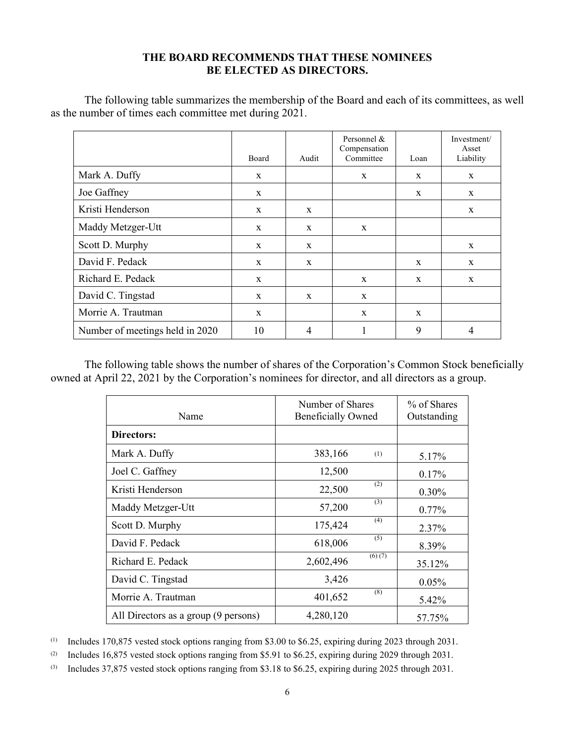## **THE BOARD RECOMMENDS THAT THESE NOMINEES BE ELECTED AS DIRECTORS.**

The following table summarizes the membership of the Board and each of its committees, as well as the number of times each committee met during 2021.

|                                 | <b>Board</b> | Audit        | Personnel &<br>Compensation<br>Committee | Loan         | Investment/<br>Asset<br>Liability |
|---------------------------------|--------------|--------------|------------------------------------------|--------------|-----------------------------------|
| Mark A. Duffy                   | $\mathbf{x}$ |              | $\mathbf{x}$                             | $\mathbf{x}$ | X                                 |
| Joe Gaffney                     | X            |              |                                          | X            | X                                 |
| Kristi Henderson                | $\mathbf{x}$ | X            |                                          |              | X                                 |
| Maddy Metzger-Utt               | $\mathbf{x}$ | $\mathbf{x}$ | $\mathbf{x}$                             |              |                                   |
| Scott D. Murphy                 | X            | X            |                                          |              | $\mathbf{x}$                      |
| David F. Pedack                 | X            | $\mathbf{x}$ |                                          | $\mathbf{x}$ | $\mathbf{x}$                      |
| Richard E. Pedack               | X            |              | $\mathbf{x}$                             | $\mathbf{x}$ | $\mathbf{x}$                      |
| David C. Tingstad               | X            | X            | X                                        |              |                                   |
| Morrie A. Trautman              | $\mathbf x$  |              | $\mathbf{x}$                             | $\mathbf{x}$ |                                   |
| Number of meetings held in 2020 | 10           | 4            |                                          | 9            | 4                                 |

The following table shows the number of shares of the Corporation's Common Stock beneficially owned at April 22, 2021 by the Corporation's nominees for director, and all directors as a group.

| Name                                 | Number of Shares<br><b>Beneficially Owned</b> | % of Shares<br>Outstanding |          |
|--------------------------------------|-----------------------------------------------|----------------------------|----------|
| Directors:                           |                                               |                            |          |
| Mark A. Duffy                        | 383,166                                       | (1)                        | 5.17%    |
| Joel C. Gaffney                      | 12,500                                        |                            | $0.17\%$ |
| Kristi Henderson                     | 22,500                                        | (2)                        | $0.30\%$ |
| Maddy Metzger-Utt                    | 57,200                                        | (3)                        | $0.77\%$ |
| Scott D. Murphy                      | 175,424                                       | (4)                        | 2.37%    |
| David F. Pedack                      | 618,006                                       | (5)                        | 8.39%    |
| Richard E. Pedack                    | 2,602,496                                     | (6)(7)                     | 35.12%   |
| David C. Tingstad                    | 3,426                                         |                            | 0.05%    |
| Morrie A. Trautman                   | 401,652                                       | (8)                        | 5.42%    |
| All Directors as a group (9 persons) | 4,280,120                                     |                            | 57.75%   |

(1) Includes 170,875 vested stock options ranging from \$3.00 to \$6.25, expiring during 2023 through 2031.

(2) Includes 16,875 vested stock options ranging from \$5.91 to \$6.25, expiring during 2029 through 2031.

(3) Includes 37,875 vested stock options ranging from \$3.18 to \$6.25, expiring during 2025 through 2031.